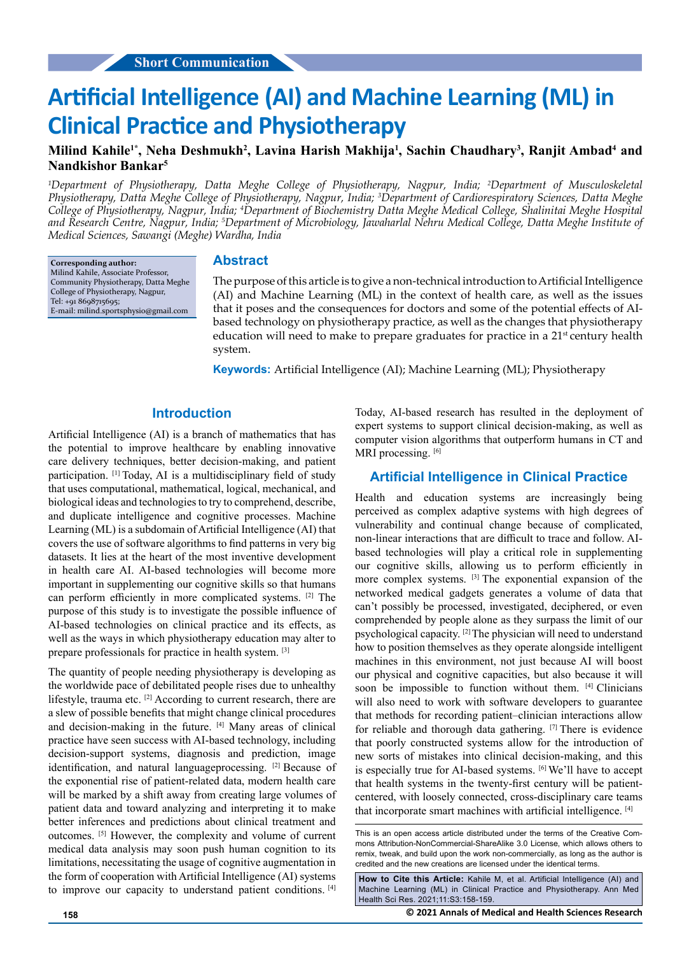# **Artificial Intelligence (AI) and Machine Learning (ML) in Clinical Practice and Physiotherapy**

## Milind Kahile<sup>1\*</sup>, Neha Deshmukh<sup>2</sup>, Lavina Harish Makhija<sup>1</sup>, Sachin Chaudhary<sup>3</sup>, Ranjit Ambad<sup>4</sup> and **Nandkishor Bankar5**

*1 Department of Physiotherapy, Datta Meghe College of Physiotherapy, Nagpur, India; 2 Department of Musculoskeletal Physiotherapy, Datta Meghe College of Physiotherapy, Nagpur, India; 3 Department of Cardiorespiratory Sciences, Datta Meghe College of Physiotherapy, Nagpur, India; 4 Department of Biochemistry Datta Meghe Medical College, Shalinitai Meghe Hospital*  and Research Centre, Nagpur, India; <sup>5</sup>Department of Microbiology, Jawaharlal Nehru Medical College, Datta Meghe Institute of *Medical Sciences, Sawangi (Meghe) Wardha, India*

**Corresponding author:** Milind Kahile, Associate Professor, Community Physiotherapy, Datta Meghe College of Physiotherapy, Nagpur, Tel: +91 8698715695; E-mail: [milind.sportsphysio@gmail.com](mailto:milind.sportsphysio@gmail.com)

#### **Abstract**

The purpose of this article is to give a non-technical introduction to Artificial Intelligence (AI) and Machine Learning (ML) in the context of health care, as well as the issues that it poses and the consequences for doctors and some of the potential effects of AIbased technology on physiotherapy practice, as well as the changes that physiotherapy education will need to make to prepare graduates for practice in a  $21<sup>st</sup>$  century health system.

**Keywords:** Artificial Intelligence (AI); Machine Learning (ML); Physiotherapy

#### **Introduction**

Artificial Intelligence (AI) is a branch of mathematics that has the potential to improve healthcare by enabling innovative care delivery techniques, better decision-making, and patient participation. [1] Today, AI is a multidisciplinary field of study that uses computational, mathematical, logical, mechanical, and biological ideas and technologies to try to comprehend, describe, and duplicate intelligence and cognitive processes. Machine Learning (ML) is a subdomain of Artificial Intelligence (AI) that covers the use of software algorithms to find patterns in very big datasets. It lies at the heart of the most inventive development in health care AI. AI-based technologies will become more important in supplementing our cognitive skills so that humans can perform efficiently in more complicated systems. [2] The purpose of this study is to investigate the possible influence of AI-based technologies on clinical practice and its effects, as well as the ways in which physiotherapy education may alter to prepare professionals for practice in health system. [3]

The quantity of people needing physiotherapy is developing as the worldwide pace of debilitated people rises due to unhealthy lifestyle, trauma etc. [2] According to current research, there are a slew of possible benefits that might change clinical procedures and decision-making in the future. [4] Many areas of clinical practice have seen success with AI-based technology, including decision-support systems, diagnosis and prediction, image identification, and natural languageprocessing. [2] Because of the exponential rise of patient-related data, modern health care will be marked by a shift away from creating large volumes of patient data and toward analyzing and interpreting it to make better inferences and predictions about clinical treatment and outcomes. [5] However, the complexity and volume of current medical data analysis may soon push human cognition to its limitations, necessitating the usage of cognitive augmentation in the form of cooperation with Artificial Intelligence (AI) systems to improve our capacity to understand patient conditions. [4] Today, AI-based research has resulted in the deployment of expert systems to support clinical decision-making, as well as computer vision algorithms that outperform humans in CT and MRI processing. [6]

### **Artificial Intelligence in Clinical Practice**

Health and education systems are increasingly being perceived as complex adaptive systems with high degrees of vulnerability and continual change because of complicated, non-linear interactions that are difficult to trace and follow. AIbased technologies will play a critical role in supplementing our cognitive skills, allowing us to perform efficiently in more complex systems. [3] The exponential expansion of the networked medical gadgets generates a volume of data that can't possibly be processed, investigated, deciphered, or even comprehended by people alone as they surpass the limit of our psychological capacity. [2] The physician will need to understand how to position themselves as they operate alongside intelligent machines in this environment, not just because AI will boost our physical and cognitive capacities, but also because it will soon be impossible to function without them. [4] Clinicians will also need to work with software developers to guarantee that methods for recording patient–clinician interactions allow for reliable and thorough data gathering. [7] There is evidence that poorly constructed systems allow for the introduction of new sorts of mistakes into clinical decision-making, and this is especially true for AI-based systems. [6] We'll have to accept that health systems in the twenty-first century will be patientcentered, with loosely connected, cross-disciplinary care teams that incorporate smart machines with artificial intelligence. [4]

**How to Cite this Article:** Kahile M, et al. Artificial Intelligence (AI) and Machine Learning (ML) in Clinical Practice and Physiotherapy. Ann Med Health Sci Res. 2021;11:S3:158-159.

**158 © 2021 Annals of Medical and Health Sciences Research** 

This is an open access article distributed under the terms of the Creative Commons Attribution-NonCommercial-ShareAlike 3.0 License, which allows others to remix, tweak, and build upon the work non‑commercially, as long as the author is credited and the new creations are licensed under the identical terms.